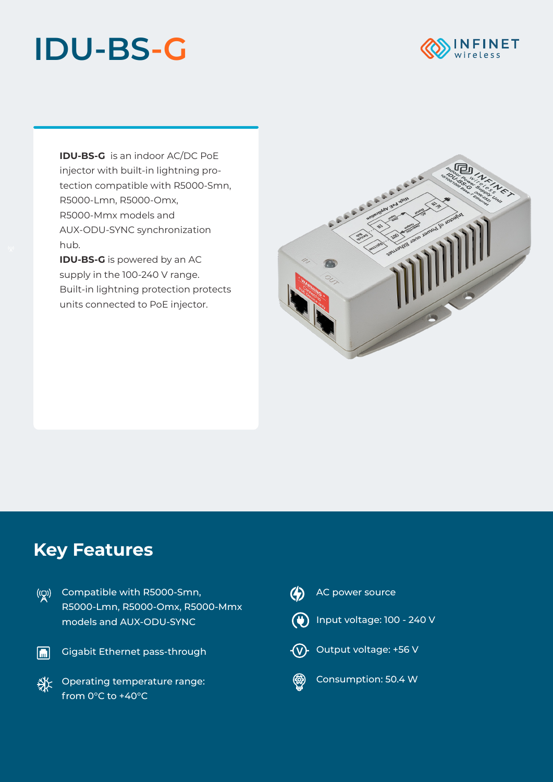## **IDU-BS-G**



**IDU-BS-G** is an indoor AC/DC PoE injector with built-in lightning protection compatible with R5000-Smn, R5000-Lmn, R5000-Omx, R5000-Mmx models and AUX-ODU-SYNC synchronization hub.

**IDU-BS-G** is powered by an AC supply in the 100-240 V range. Built-in lightning protection protects units connected to PoE injector.



## **Key Features**





- Gigabit Ethernet pass-through
- **SAX** Operating temperature range: from 0°С to +40°С
- $\bigcirc$ AC power source Input voltage: 100 - 240 V
- $\widehat{\mathsf{V}}$  Output voltage: +56 V



Consumption: 50.4 W